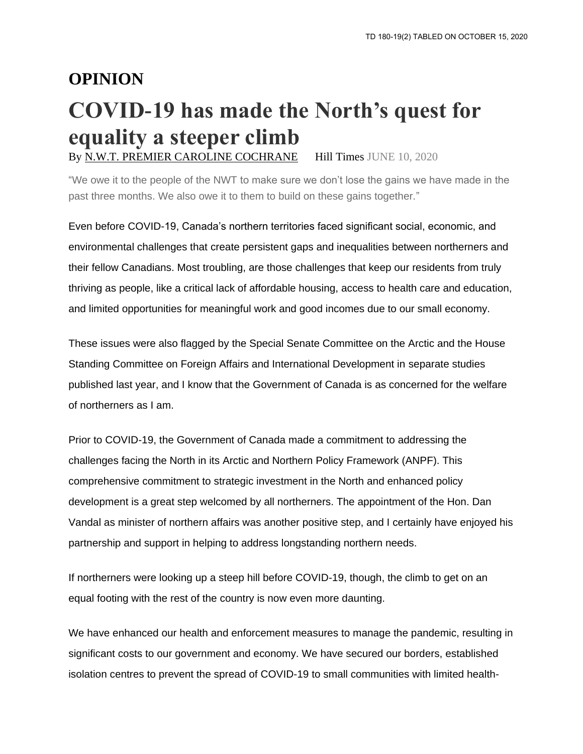## **OPINION COVID-19 has made the North's quest for equality a steeper climb** By [N.W.T. PREMIER CAROLINE COCHRANE](https://www.hilltimes.com/author/n-w-t-premier-caroline-cochrane) Hill Times JUNE 10, 2020

"We owe it to the people of the NWT to make sure we don't lose the gains we have made in the past three months. We also owe it to them to build on these gains together."

Even before COVID-19, Canada's northern territories faced significant social, economic, and environmental challenges that create persistent gaps and inequalities between northerners and their fellow Canadians. Most troubling, are those challenges that keep our residents from truly thriving as people, like a critical lack of affordable housing, access to health care and education, and limited opportunities for meaningful work and good incomes due to our small economy.

These issues were also flagged by the Special Senate Committee on the Arctic and the House Standing Committee on Foreign Affairs and International Development in separate studies published last year, and I know that the Government of Canada is as concerned for the welfare of northerners as I am.

Prior to COVID-19, the Government of Canada made a commitment to addressing the challenges facing the North in its Arctic and Northern Policy Framework (ANPF). This comprehensive commitment to strategic investment in the North and enhanced policy development is a great step welcomed by all northerners. The appointment of the Hon. Dan Vandal as minister of northern affairs was another positive step, and I certainly have enjoyed his partnership and support in helping to address longstanding northern needs.

If northerners were looking up a steep hill before COVID-19, though, the climb to get on an equal footing with the rest of the country is now even more daunting.

We have enhanced our health and enforcement measures to manage the pandemic, resulting in significant costs to our government and economy. We have secured our borders, established isolation centres to prevent the spread of COVID-19 to small communities with limited health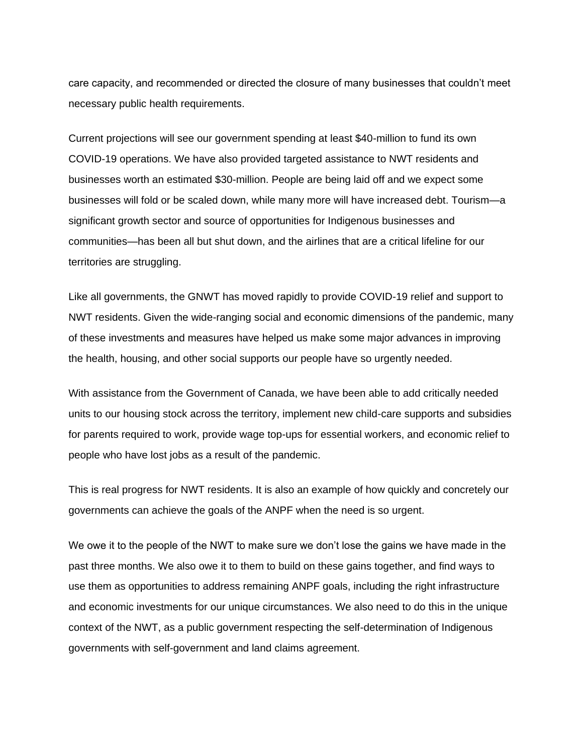care capacity, and recommended or directed the closure of many businesses that couldn't meet necessary public health requirements.

Current projections will see our government spending at least \$40-million to fund its own COVID-19 operations. We have also provided targeted assistance to NWT residents and businesses worth an estimated \$30-million. People are being laid off and we expect some businesses will fold or be scaled down, while many more will have increased debt. Tourism—a significant growth sector and source of opportunities for Indigenous businesses and communities—has been all but shut down, and the airlines that are a critical lifeline for our territories are struggling.

Like all governments, the GNWT has moved rapidly to provide COVID-19 relief and support to NWT residents. Given the wide-ranging social and economic dimensions of the pandemic, many of these investments and measures have helped us make some major advances in improving the health, housing, and other social supports our people have so urgently needed.

With assistance from the Government of Canada, we have been able to add critically needed units to our housing stock across the territory, implement new child-care supports and subsidies for parents required to work, provide wage top-ups for essential workers, and economic relief to people who have lost jobs as a result of the pandemic.

This is real progress for NWT residents. It is also an example of how quickly and concretely our governments can achieve the goals of the ANPF when the need is so urgent.

We owe it to the people of the NWT to make sure we don't lose the gains we have made in the past three months. We also owe it to them to build on these gains together, and find ways to use them as opportunities to address remaining ANPF goals, including the right infrastructure and economic investments for our unique circumstances. We also need to do this in the unique context of the NWT, as a public government respecting the self-determination of Indigenous governments with self-government and land claims agreement.